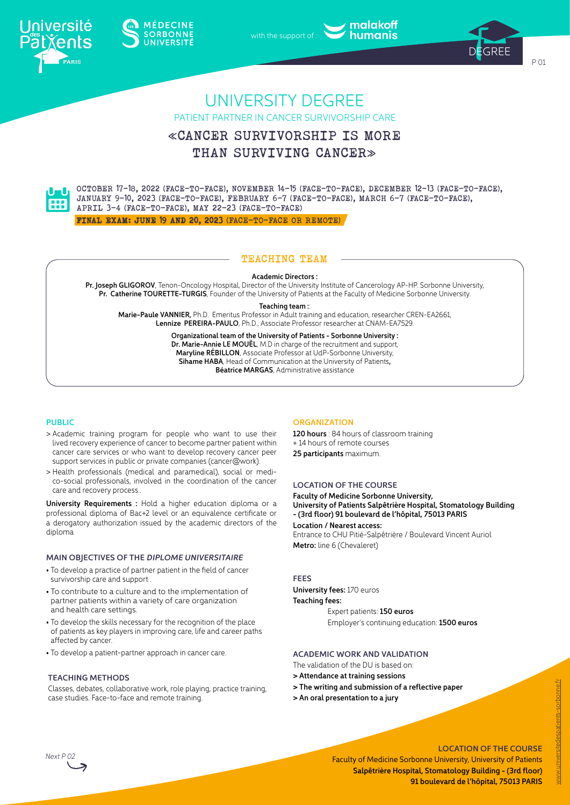







 $P<sub>01</sub>$ 

# «CANCER SURVIVORSHIP IS MORE THAN SURVIVING CANCER» UNIVERSITY DEGREE PATIENT PARTNER IN CANCER SURVIVORSHIP CARE



OCTOBER 17-18, 2022 (FACE-TO-FACE), NOVEMBER 14-15 (FACE-TO-FACE), DECEMBER 12-13 (FACE-TO-FACE), JANUARY 9-10, 2023 (FACE-TO-FACE), FEBRUARY 6-7 (FACE-TO-FACE), MARCH 6-7 (FACE-TO-FACE), APRIL 3-4 (FACE-TO-FACE), MAY 22-23 (FACE-TO-FACE)

FINAL EXAM: JUNE 19 AND 20, 2023 (FACE-TO-FACE OR REMOTE)

## TEACHING TEAM

**Academic Directors :** 

**Pr. Joseph GLIGOROV**, Tenon-Oncology Hospital, Director of the University Institute of Cancerology AP-HP. Sorbonne University, **Pr. Catherine TOURETTE-TURGIS**, Founder of the University of Patients at the Faculty of Medicine Sorbonne University.

**Teaching team :**:

**Marie-Paule VANNIER,** Ph.D. Emeritus Professor in Adult training and education, researcher CREN-EA2661, **Lennize PEREIRA-PAULO**, Ph.D., Associate Professor researcher at CNAM-EA7529.

> **Organizational team of the University of Patients - Sorbonne University : Dr. Marie-Annie LE MOUËL**, M.D in charge of the recruitment and support, **Maryline RÉBILLON**, Associate Professor at UdP-Sorbonne University, **Sihame HABA**, Head of Communication at the University of Patients**, Béatrice MARGAS**, Administrative assistance

### **PUBLIC**

- > Academic training program for people who want to use their lived recovery experience of cancer to become partner patient within cancer care services or who want to develop recovery cancer peer support services in public or private companies (cancer@work).
- > Health professionals (medical and paramedical), social or medico-social professionals, involved in the coordination of the cancer care and recovery process..

**University Requirements :** Hold a higher education diploma or a professional diploma of Bac+2 level or an equivalence certificate or a derogatory authorization issued by the academic directors of the diploma

### **MAIN OBJECTIVES OF THE** *DIPLOME UNIVERSITAIRE*

- To develop a practice of partner patient in the field of cancer survivorship care and support .
- To contribute to a culture and to the implementation of partner patients within a variety of care organization and health care settings.
- To develop the skills necessary for the recognition of the place of patients as key players in improving care, life and career paths affected by cancer.
- To develop a patient-partner approach in cancer care.

## **TEACHING METHODS**

Classes, debates, collaborative work, role playing, practice training, case studies. Face-to-face and remote training.

### **ORGANIZATION**

**120 hours** : 84 hours of classroom training + 14 hours of remote courses **25 participants** maximum.

#### **LOCATION OF THE COURSE**

**Faculty of Medicine Sorbonne University, University of Patients Salpêtrière Hospital, Stomatology Building - (3rd floor) 91 boulevard de l'hôpital, 75013 PARIS**

**Location / Nearest access:**  Entrance to CHU Pitié-Salpêtrière / Boulevard Vincent Auriol **Metro:** line 6 (Chevaleret)

### **FEES**

**University fees:** 170 euros **Teaching fees:** Expert patients: **150 euros** Employer's continuing education: **1500 euros**

## **ACADEMIC WORK AND VALIDATION**

- The validation of the DU is based on:
- **> Attendance at training sessions**
- **> The writing and submission of a reflective paper**
- **> An oral presentation to a jury**

**LOCATION OF THE COURSE**

Faculty of Medicine Sorbonne University, University of Patients **Salpêtrière Hospital, Stomatology Building - (3rd floor) 91 boulevard de l'hôpital, 75013 PARIS**